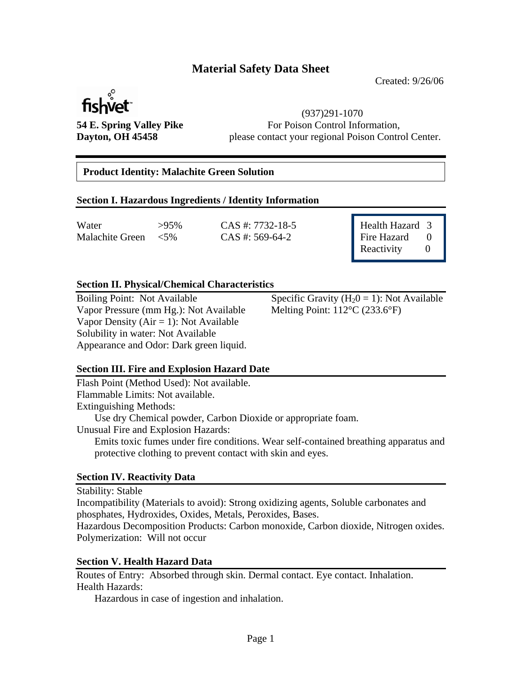# **Material Safety Data Sheet**

Created: 9/26/06



 (937)291-1070 **54 E. Spring Valley Pike** For Poison Control Information, **Dayton, OH 45458** please contact your regional Poison Control Center.

# **Product Identity: Malachite Green Solution**

#### **Section I. Hazardous Ingredients / Identity Information**

Water  $>95\%$  CAS #: 7732-18-5 Health Hazard 3 Malachite Green <5% CAS #: 569-64-2

Fire Hazard 0 Reactivity 0

### **Section II. Physical/Chemical Characteristics**

Vapor Pressure (mm Hg.): Not Available Vapor Density ( $Air = 1$ ): Not Available Solubility in water: Not Available Appearance and Odor: Dark green liquid.

Boiling Point: Not Available Specific Gravity  $(H_20 = 1)$ : Not Available Vapor Pressure (mm Hg.): Not Available Melting Point: 112°C (233.6°F)

### **Section III. Fire and Explosion Hazard Date**

Flash Point (Method Used): Not available. Flammable Limits: Not available. Extinguishing Methods: Use dry Chemical powder, Carbon Dioxide or appropriate foam. Unusual Fire and Explosion Hazards: Emits toxic fumes under fire conditions. Wear self-contained breathing apparatus and protective clothing to prevent contact with skin and eyes.

#### **Section IV. Reactivity Data**

Stability: Stable

Incompatibility (Materials to avoid): Strong oxidizing agents, Soluble carbonates and phosphates, Hydroxides, Oxides, Metals, Peroxides, Bases.

Hazardous Decomposition Products: Carbon monoxide, Carbon dioxide, Nitrogen oxides. Polymerization: Will not occur

#### **Section V. Health Hazard Data**

Routes of Entry: Absorbed through skin. Dermal contact. Eye contact. Inhalation. Health Hazards:

Hazardous in case of ingestion and inhalation.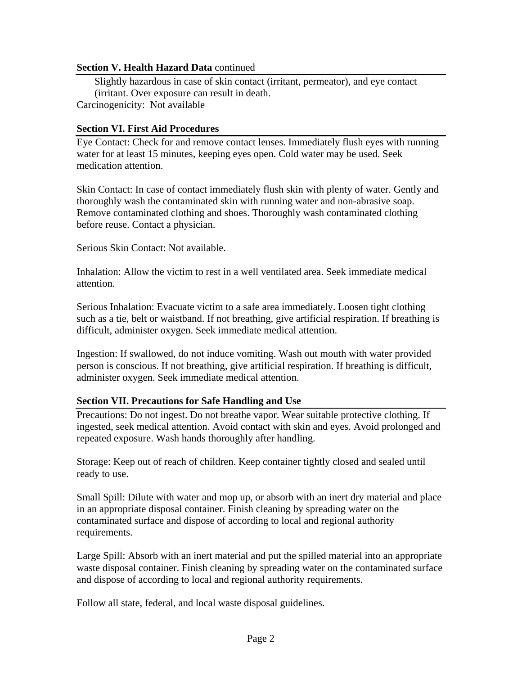### **Section V. Health Hazard Data** continued

 Slightly hazardous in case of skin contact (irritant, permeator), and eye contact (irritant. Over exposure can result in death. Carcinogenicity: Not available

## **Section VI. First Aid Procedures**

Eye Contact: Check for and remove contact lenses. Immediately flush eyes with running water for at least 15 minutes, keeping eyes open. Cold water may be used. Seek medication attention.

Skin Contact: In case of contact immediately flush skin with plenty of water. Gently and thoroughly wash the contaminated skin with running water and non-abrasive soap. Remove contaminated clothing and shoes. Thoroughly wash contaminated clothing before reuse. Contact a physician.

Serious Skin Contact: Not available.

Inhalation: Allow the victim to rest in a well ventilated area. Seek immediate medical attention.

Serious Inhalation: Evacuate victim to a safe area immediately. Loosen tight clothing such as a tie, belt or waistband. If not breathing, give artificial respiration. If breathing is difficult, administer oxygen. Seek immediate medical attention.

Ingestion: If swallowed, do not induce vomiting. Wash out mouth with water provided person is conscious. If not breathing, give artificial respiration. If breathing is difficult, administer oxygen. Seek immediate medical attention.

# **Section VII. Precautions for Safe Handling and Use**

Precautions: Do not ingest. Do not breathe vapor. Wear suitable protective clothing. If ingested, seek medical attention. Avoid contact with skin and eyes. Avoid prolonged and repeated exposure. Wash hands thoroughly after handling.

Storage: Keep out of reach of children. Keep container tightly closed and sealed until ready to use.

Small Spill: Dilute with water and mop up, or absorb with an inert dry material and place in an appropriate disposal container. Finish cleaning by spreading water on the contaminated surface and dispose of according to local and regional authority requirements.

Large Spill: Absorb with an inert material and put the spilled material into an appropriate waste disposal container. Finish cleaning by spreading water on the contaminated surface and dispose of according to local and regional authority requirements.

Follow all state, federal, and local waste disposal guidelines.